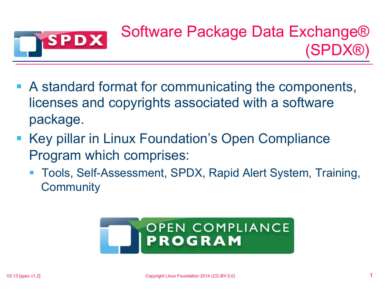

- A standard format for communicating the components, licenses and copyrights associated with a software package.
- Key pillar in Linux Foundation's Open Compliance Program which comprises:
	- § Tools, Self-Assessment, SPDX, Rapid Alert System, Training, **Community**

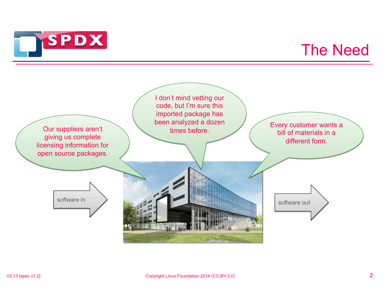

### The Need

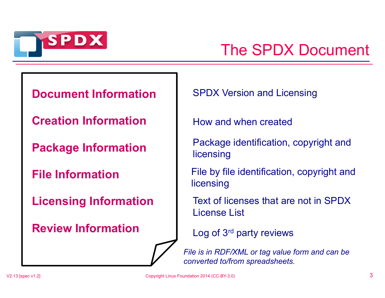

## The SPDX Document

#### **Document Information**

**Creation Information** 

**Package Information** 

**File Information** 

**Licensing Information** 

**Review Information** 

SPDX Version and Licensing

How and when created

Package identification, copyright and licensing

File by file identification, copyright and licensing

Text of licenses that are not in SPDX License List

Log of 3rd party reviews

*File is in RDF/XML or tag value form and can be converted to/from spreadsheets.*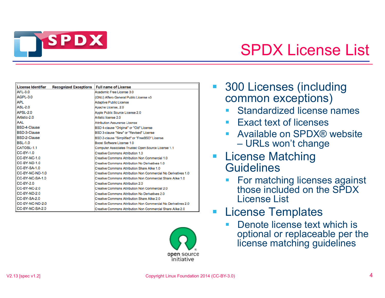

## SPDX License List

| License Identifier  | <b>Recognized Exceptions</b> | <b>Full name of License</b>                                    |
|---------------------|------------------------------|----------------------------------------------------------------|
| AFL-3.0             |                              | Academic Free License 3.0                                      |
| AGPL-3.0            |                              | (GNU) Affero General Public License v3                         |
| <b>APL</b>          |                              | Adaptive Public License                                        |
| <b>ASL-2.0</b>      |                              | Apache License, 2.0                                            |
| <b>APSL-2.0</b>     |                              | Apple Public Source License 2.0                                |
| Artistic-2.0        |                              | Artistic license 2.0                                           |
| AAL                 |                              | Attribution Assurance License                                  |
| <b>BSD-4-Clause</b> |                              | BSD 4-clause "Original" or "Old" License                       |
| <b>BSD-3-Clause</b> |                              | BSD 3-clause "New" or "Revised" License                        |
| BSD-2-Clause        |                              | BSD 2-clause "Simplified" or "FreeBSD" License                 |
| <b>BSL-1.0</b>      |                              | Boost Software License 1.0                                     |
| CATOSL-1.1          |                              | Computer Associates Trusted Open Source License 1.1            |
| $CC-BY-1.0$         |                              | Creative Commons Attribution 1.0                               |
| CC-BY-NC-1.0        |                              | Creative Commons Attribution Non Commercial 1.0                |
| CC-BY-ND-1.0        |                              | Creative Commons Attribution No Derivatives 1.0                |
| $CC-BY-SA-1.0$      |                              | Creative Commons Attribution Share Alike 1.0                   |
| CC-BY-NC-ND-1.0     |                              | Creative Commons Attribution Non Commercial No Derivatives 1.0 |
| CC-BY-NC-SA-1.0     |                              | Creative Commons Attribution Non Commercial Share Alike 1.0    |
| <b>CC-BY-2.0</b>    |                              | Creative Commons Attribution 2.0                               |
| $CC-BY-NC-2.0$      |                              | Creative Commons Attribution Non Commercial 2.0                |
| CC-BY-ND-2.0        |                              | Creative Commons Attribution No Derivatives 2.0                |
| CC-BY-SA-2.0        |                              | Creative Commons Attribution Share Alike 2.0                   |
| CC-BY-NC-ND-2.0     |                              | Creative Commons Attribution Non Commercial No Derivatives 2.0 |
| CC-BY-NC-SA-2.0     |                              | Creative Commons Attribution Non Commercial Share Alike 2.0    |



- § 300 Licenses (including common exceptions)
	- Standardized license names
	- Exact text of licenses
	- § Available on SPDX® website – URLs won't change
- License Matching **Guidelines** 
	- § For matching licenses against those included on the SPDX License List
- License Templates
	- Denote license text which is optional or replaceable per the license matching guidelines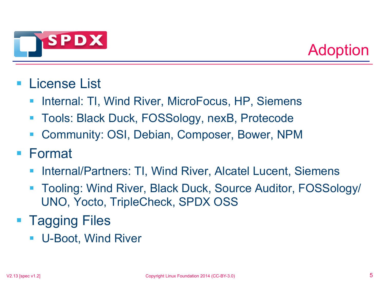



#### § License List

- § Internal: TI, Wind River, MicroFocus, HP, Siemens
- Tools: Black Duck, FOSSology, nexB, Protecode
- § Community: OSI, Debian, Composer, Bower, NPM

#### § Format

- § Internal/Partners: TI, Wind River, Alcatel Lucent, Siemens
- § Tooling: Wind River, Black Duck, Source Auditor, FOSSology/ UNO, Yocto, TripleCheck, SPDX OSS
- Tagging Files
	- § U-Boot, Wind River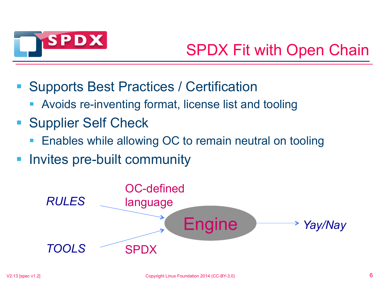

# SPDX Fit with Open Chain

- § Supports Best Practices / Certification
	- § Avoids re-inventing format, license list and tooling
- Supplier Self Check
	- Enables while allowing OC to remain neutral on tooling
- § Invites pre-built community

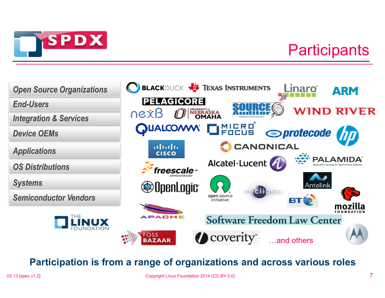

## **Participants**



#### **Participation is from a range of organizations and across various roles**